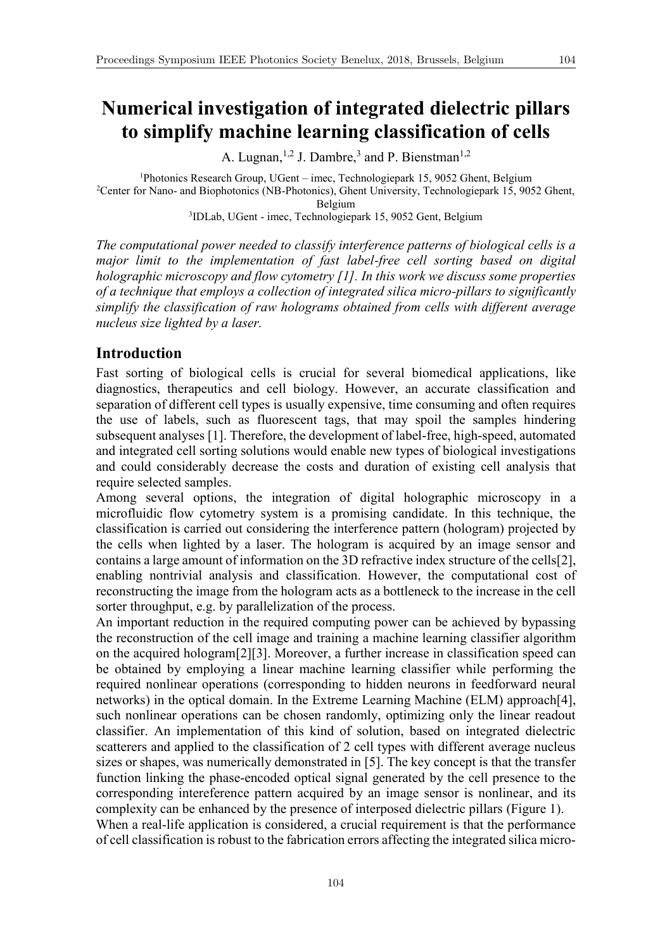# **Numerical investigation of integrated dielectric pillars to simplify machine learning classification of cells**

A. Lugnan,<sup>1,2</sup> J. Dambre,<sup>3</sup> and P. Bienstman<sup>1,2</sup>

<sup>1</sup>Photonics Research Group, UGent – imec, Technologiepark 15, 9052 Ghent, Belgium<br><sup>2</sup>Center for Nano- and Biophotonics (NB-Photonics), Ghent University, Technologiepark 15, 905<sup>2</sup> <sup>2</sup>Center for Nano- and Biophotonics (NB-Photonics), Ghent University, Technologiepark 15, 9052 Ghent, Belgium

3 IDLab, UGent - imec, Technologiepark 15, 9052 Gent, Belgium

*The computational power needed to classify interference patterns of biological cells is a major limit to the implementation of fast label-free cell sorting based on digital holographic microscopy and flow cytometry [1]. In this work we discuss some properties of a technique that employs a collection of integrated silica micro-pillars to significantly simplify the classification of raw holograms obtained from cells with different average nucleus size lighted by a laser.*

## **Introduction**

Fast sorting of biological cells is crucial for several biomedical applications, like diagnostics, therapeutics and cell biology. However, an accurate classification and separation of different cell types is usually expensive, time consuming and often requires the use of labels, such as fluorescent tags, that may spoil the samples hindering subsequent analyses [1]. Therefore, the development of label-free, high-speed, automated and integrated cell sorting solutions would enable new types of biological investigations and could considerably decrease the costs and duration of existing cell analysis that require selected samples.

Among several options, the integration of digital holographic microscopy in a microfluidic flow cytometry system is a promising candidate. In this technique, the classification is carried out considering the interference pattern (hologram) projected by the cells when lighted by a laser. The hologram is acquired by an image sensor and contains a large amount of information on the 3D refractive index structure of the cells[2], enabling nontrivial analysis and classification. However, the computational cost of reconstructing the image from the hologram acts as a bottleneck to the increase in the cell sorter throughput, e.g. by parallelization of the process.

An important reduction in the required computing power can be achieved by bypassing the reconstruction of the cell image and training a machine learning classifier algorithm on the acquired hologram[2][3]. Moreover, a further increase in classification speed can be obtained by employing a linear machine learning classifier while performing the required nonlinear operations (corresponding to hidden neurons in feedforward neural networks) in the optical domain. In the Extreme Learning Machine (ELM) approach[4], such nonlinear operations can be chosen randomly, optimizing only the linear readout classifier. An implementation of this kind of solution, based on integrated dielectric scatterers and applied to the classification of 2 cell types with different average nucleus sizes or shapes, was numerically demonstrated in [5]. The key concept is that the transfer function linking the phase-encoded optical signal generated by the cell presence to the corresponding intereference pattern acquired by an image sensor is nonlinear, and its complexity can be enhanced by the presence of interposed dielectric pillars (Figure 1). When a real-life application is considered, a crucial requirement is that the performance of cell classification is robust to the fabrication errors affecting the integrated silica micro-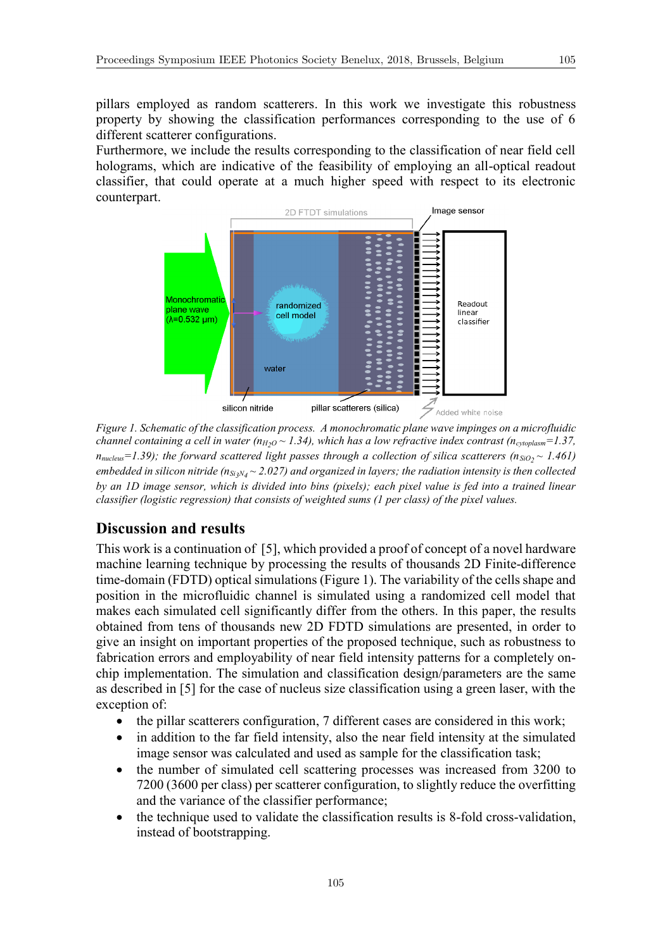pillars employed as random scatterers. In this work we investigate this robustness property by showing the classification performances corresponding to the use of 6 different scatterer configurations.

Furthermore, we include the results corresponding to the classification of near field cell holograms, which are indicative of the feasibility of employing an all-optical readout classifier, that could operate at a much higher speed with respect to its electronic counterpart.



*Figure 1. Schematic of the classification process. A monochromatic plane wave impinges on a microfluidic channel containing a cell in water (* $n_{H2O} \sim 1.34$ *), which has a low refractive index contrast (* $n_{cytoplasm} = 1.37$ *,*  $n_{nucleus}=1.39$ ); the forward scattered light passes through a collection of silica scatterers (ns<sub>iO2</sub>  $\sim$  1.461) embedded in silicon nitride (n<sub>Si3</sub>N<sub>4</sub> ~ 2.027) and organized in layers; the radiation intensity is then collected *by an 1D image sensor, which is divided into bins (pixels); each pixel value is fed into a trained linear classifier (logistic regression) that consists of weighted sums (1 per class) of the pixel values.*

## **Discussion and results**

This work is a continuation of [5], which provided a proof of concept of a novel hardware machine learning technique by processing the results of thousands 2D Finite-difference time-domain (FDTD) optical simulations (Figure 1). The variability of the cells shape and position in the microfluidic channel is simulated using a randomized cell model that makes each simulated cell significantly differ from the others. In this paper, the results obtained from tens of thousands new 2D FDTD simulations are presented, in order to give an insight on important properties of the proposed technique, such as robustness to fabrication errors and employability of near field intensity patterns for a completely onchip implementation. The simulation and classification design/parameters are the same as described in [5] for the case of nucleus size classification using a green laser, with the exception of:

- the pillar scatterers configuration, 7 different cases are considered in this work;
- in addition to the far field intensity, also the near field intensity at the simulated image sensor was calculated and used as sample for the classification task;
- the number of simulated cell scattering processes was increased from 3200 to 7200 (3600 per class) per scatterer configuration, to slightly reduce the overfitting and the variance of the classifier performance;
- the technique used to validate the classification results is 8-fold cross-validation, instead of bootstrapping.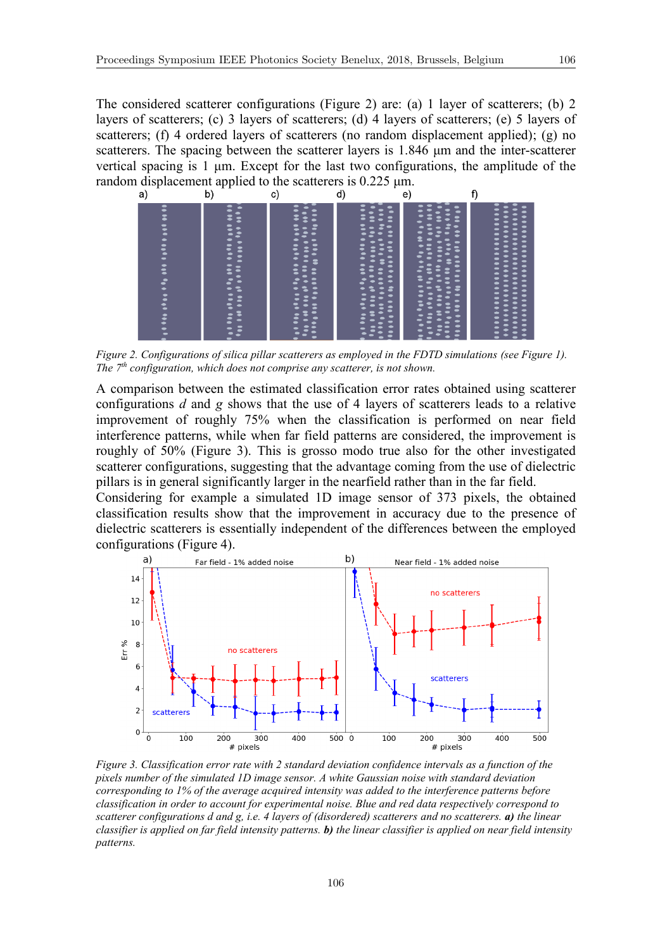The considered scatterer configurations (Figure 2) are: (a) 1 layer of scatterers; (b) 2 layers of scatterers; (c) 3 layers of scatterers; (d) 4 layers of scatterers; (e) 5 layers of scatterers; (f) 4 ordered layers of scatterers (no random displacement applied); (g) no scatterers. The spacing between the scatterer layers is 1.846 μm and the inter-scatterer vertical spacing is 1 μm. Except for the last two configurations, the amplitude of the random displacement applied to the scatterers is  $0.225 \mu m$ .<br>a) b) c) d) e)



*Figure 2. Configurations of silica pillar scatterers as employed in the FDTD simulations (see Figure 1). The 7th configuration, which does not comprise any scatterer, is not shown.*

A comparison between the estimated classification error rates obtained using scatterer configurations *d* and *g* shows that the use of 4 layers of scatterers leads to a relative improvement of roughly 75% when the classification is performed on near field interference patterns, while when far field patterns are considered, the improvement is roughly of 50% (Figure 3). This is grosso modo true also for the other investigated scatterer configurations, suggesting that the advantage coming from the use of dielectric pillars is in general significantly larger in the nearfield rather than in the far field.

Considering for example a simulated 1D image sensor of 373 pixels, the obtained classification results show that the improvement in accuracy due to the presence of dielectric scatterers is essentially independent of the differences between the employed configurations (Figure 4).



*Figure 3. Classification error rate with 2 standard deviation confidence intervals as a function of the pixels number of the simulated 1D image sensor. A white Gaussian noise with standard deviation corresponding to 1% of the average acquired intensity was added to the interference patterns before classification in order to account for experimental noise. Blue and red data respectively correspond to scatterer configurations d and g, i.e. 4 layers of (disordered) scatterers and no scatterers. a) the linear classifier is applied on far field intensity patterns. b) the linear classifier is applied on near field intensity patterns.*